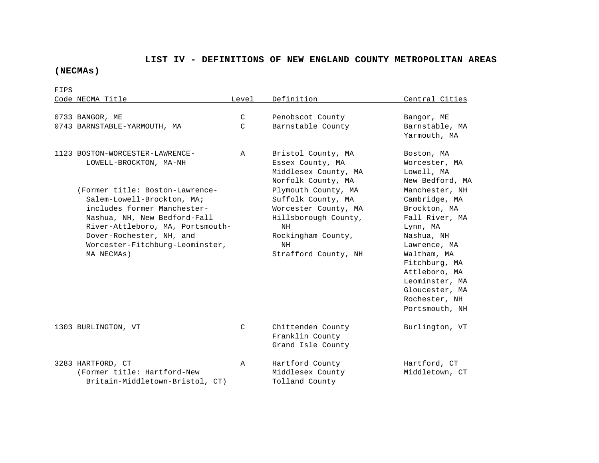## **LIST IV - DEFINITIONS OF NEW ENGLAND COUNTY METROPOLITAN AREAS**

## **(NECMAs)**

FIPS Code NECMA Title  $L = L$  Level Definition Central Cities 0733 BANGOR, ME C Penobscot County Bangor, ME 0743 BARNSTABLE-YARMOUTH, MA C Barnstable County Barnstable, MA Yarmouth, MA 1123 BOSTON-WORCESTER-LAWRENCE- A Bristol County, MA Boston, MA LOWELL-BROCKTON, MA-NH Essex County, MA Worcester, MA Middlesex County, MA Lowell, MA Norfolk County, MA New Bedford, MA (Former title: Boston-Lawrence- Plymouth County, MA Manchester, NH Salem-Lowell-Brockton, MA; Suffolk County, MA Cambridge, MA includes former Manchester-<br>
Worcester County, MA Brockton, MA Nashua, NH, New Bedford-Fall **Hillsborough County, Fall River, MA** River-Attleboro, MA, Portsmouth- NH NH Lynn, MA Dover-Rochester, NH, and  $Rockin\alpha$  Rockingham County,  $N=1$  Nashua, NH Worcester-Fitchburg-Leominster, NH NH Lawrence, MA MA NECMAs) Strafford County, NH Waltham, MA Fitchburg, MA Attleboro, MA Leominster, MA Gloucester, MA Rochester, NH Portsmouth, NH 1303 BURLINGTON, VT C Chittenden County Burlington, VT Franklin County Grand Isle County 3283 HARTFORD, CT A Hartford County Hartford, CT (Former title: Hartford-New Middlesex County Middletown, CT Britain-Middletown-Bristol, CT) Tolland County